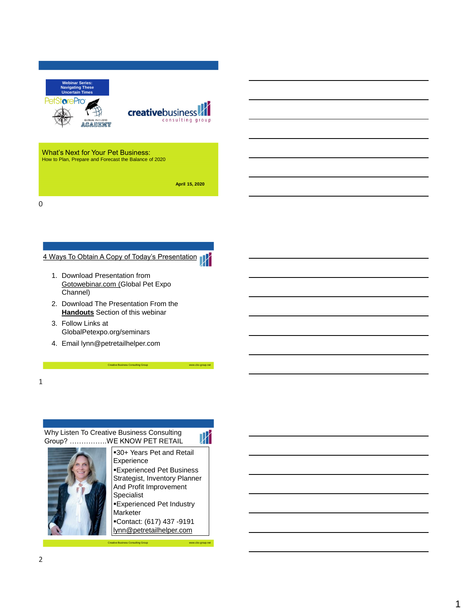| <b>Webinar Series:</b><br><b>Navigating These</b><br><b>Uncertain Times</b><br>PetSt <b>or</b> ePro<br><b>GLOBAL PET EXPO</b><br>ACADEMY | <b>creative</b> business<br>consulting group |
|------------------------------------------------------------------------------------------------------------------------------------------|----------------------------------------------|
| What's Next for Your Pet Business:<br>How to Plan, Prepare and Forecast the Balance of 2020                                              |                                              |

**April 15, 2020**

0

# 4 Ways To Obtain A Copy of Today's Presentation

- 1. Download Presentation from Gotowebinar.com (Global Pet Expo Channel)
- 2. Download The Presentation From the **Handouts** Section of this webinar
- 3. Follow Links at GlobalPetexpo.org/seminars
- 4. Email lynn@petretailhelper.com

1

# Why Listen To Creative Business Consulting Group? …………….WE KNOW PET RETAIL

 $\overline{\mathbb{X}}$ **-30+ Years Pet and Retail** Experience **Experienced Pet Business** Strategist, Inventory Planner And Profit Improvement Specialist **Experienced Pet Industry** Marketer

Creative Business Consulting Group www.cbc-group.net

▪Contact: (617) 437 -9191 lynn@petretailhelper.com

Creative Business Consulting Group www.cbc-group.net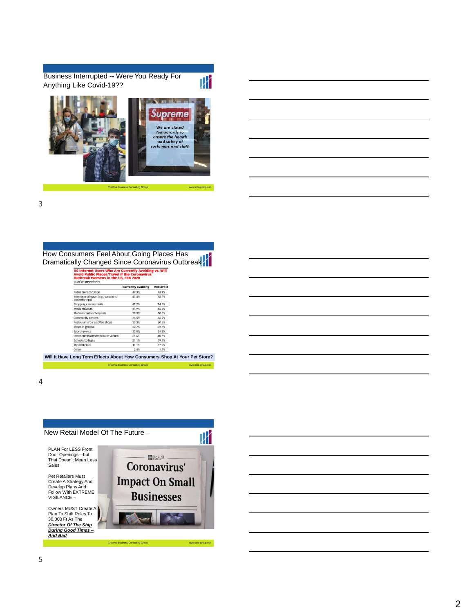Business Interrupted -- Were You Ready For Anything Like Covid-19??



Creative Business Consulting Group www.cbc-group.net

 $\mathbb {N}$ 

3

How Consumers Feel About Going Places Has Dramatically Changed Since Coronavirus Outbreak

US Internet Users Who Are Currently Avoiding vs. Will<br>Avoid Public Places/Travel if the Coronavirus<br>Quthreak Wergens in the US Ech 2020

|                                                           | <b>Currently avoiding</b> | <b>Will avoid</b> |
|-----------------------------------------------------------|---------------------------|-------------------|
| Public transportation                                     | 49.3%                     | 73.1%             |
| International travel (e.g., vacations,<br>business trips) | 47.4%                     | 68.2%             |
| Shopping centers/malls                                    | 47.2%                     | 74.6%             |
| Movie theaters                                            | 41.9%                     | 66.6%             |
| Medical centers/hospitals                                 | 38.9%                     | 50.6%             |
| Community centers                                         | 35.5%                     | 56.9%             |
| Restaurants/bars/coffee shops                             | 35.3%                     | 60.5%             |
| Shops in general                                          | 32.7%                     | 52.7%             |
| Sports events                                             | 32.0%                     | 58.8%             |
| Other entertainment/leisure venues                        | 21.6%                     | 40.7%             |
| Schools/colleges                                          | 21.1%                     | 39.3%             |
| My workplace                                              | 11.1%                     | 17.0%             |
| Other                                                     | 2.4%                      | 1.4%              |
|                                                           |                           |                   |

Creative Business Consulting Group www.cbc-group.net **Will It Have Long Term Effects About How Consumers Shop At Your Pet Store?**

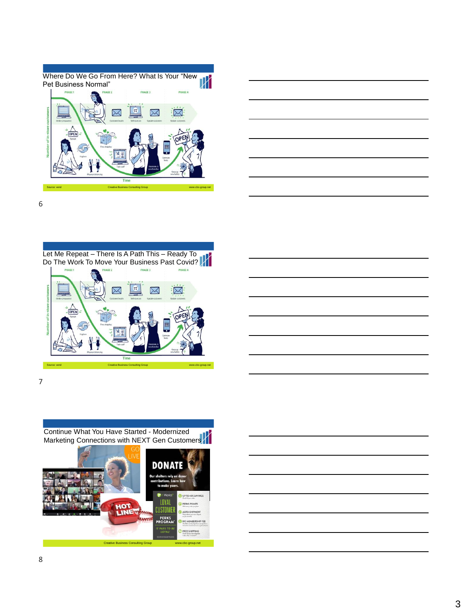



6





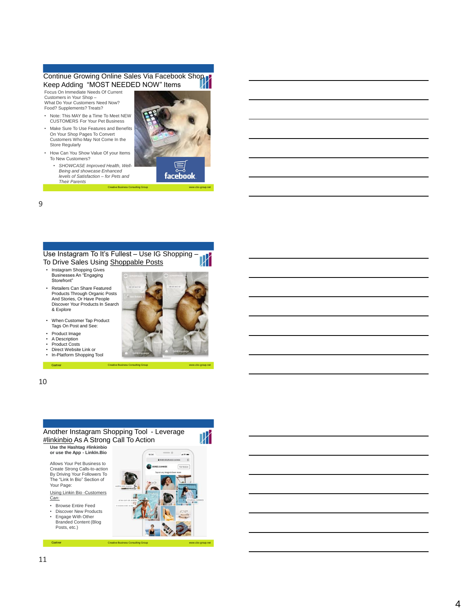# Continue Growing Online Sales Via Facebook Shop Keep Adding "MOST NEEDED NOW" Items

Focus On Immediate Needs Of Current Customers in Your Shop – What Do Your Customers Need Now?<br>Food? Supplements? Treats?

- Note: This MAY Be a Time To Meet NEW CUSTOMERS For Your Pet Business
- Make Sure To Use Features and Benefits On Your Shop Pages To Convert Customers Who May Not Come In the Store Regularly
- How Can You Show Value Of your Items To New Customers?
	- *SHOWCASE Improved Health, Well - Being and showcase Enhanced levels of Satisfaction – for Pets and Their Parents*



-group.net

Creative Business Consulting Group www.cbc www.cbc

## 9

Use Instagram To It's Fullest – Use IG Shopping – To Drive Sales Using Shoppable Posts

- Instagram Shopping Gives Businesses An "Engaging Storefront"
- Retailers Can Share Featured Products Through Organic Posts And Stories, Or Have People Discover Your Products In Search & Explore

• Product Image • A Description • Product Costs



Gartner Creative Business Consulting Group www.cbc www.cbc



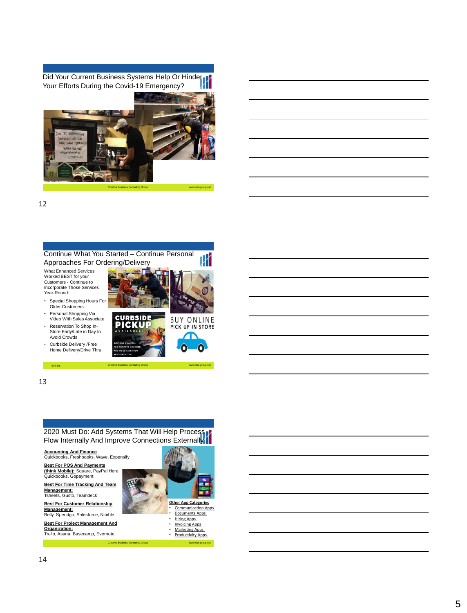Did Your Current Business Systems Help Or Hinder Your Efforts During the Covid-19 Emergency?



Creative Business Consulting Group www.cbc-group.net

12



13

2020 Must Do: Add Systems That Will Help Process Flow Internally And Improve Connections Externally

Soti, Inc. Networks Creative Business Consulting Group www.cbc-group.net Soti, Inc. Networks Consulting Group.net

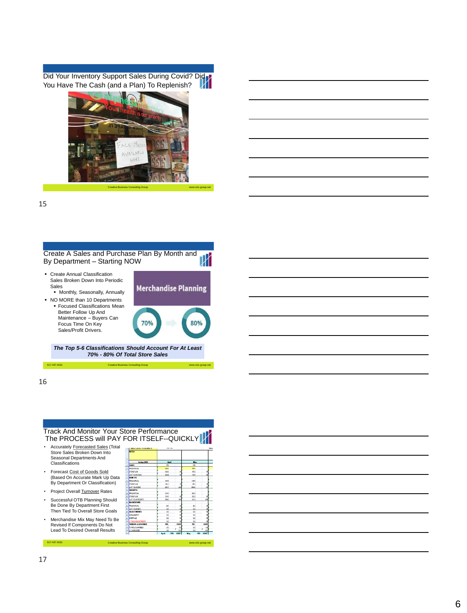Did Your Inventory Support Sales During Covid? Did You Have The Cash (and a Plan) To Replenish?



Creative Business Consulting Group www.cbc-group.net

15



16



The PROCESS will PAY FOR ITSELF--QUICKLY • Accurately Forecasted Sales (Total Store Sales Broken Down Into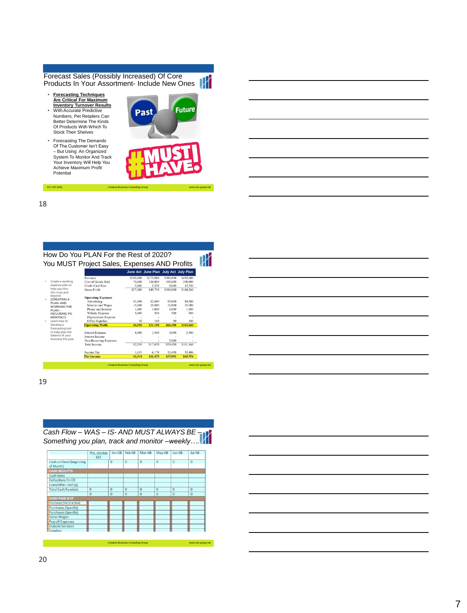Forecast Sales (Possibly Increased) Of Core Products In Your Assortment- Include New Ones

• **Forecasting Techniques Are Critical For Maximum Inventory Turnover Results**  • With Accurate Predictive Numbers, Pet Retailers Can Better Determine The Kinds Of Products With Which To

Stock Their Shelves

• Forecasting The Demands Of The Customer Isn't Easy – But Using An Organized System To Monitor And Track Your Inventory Will Help You Achieve Maximum Profit Potential



18

 $617-437-9191$ 

How Do You PLAN For the Rest of 2020? You MUST Project Sales, Expenses AND Profits

|                                                                               |                             |           | June Act June Plan July Act July Plan |           |           |
|-------------------------------------------------------------------------------|-----------------------------|-----------|---------------------------------------|-----------|-----------|
|                                                                               |                             |           |                                       |           |           |
|                                                                               | Revenue                     | \$100,000 | \$175,000                             | \$300,000 | \$458,000 |
| Create a working                                                              | <b>Cost of Goods Sold</b>   | 70.000    | 120.000                               | 190.000   | 300,000   |
| expense plan to<br>help you thru<br>this crisis and                           | Credit Card Fees            | 3.000     | 5.250                                 | 9.000     | 13,740    |
|                                                                               | <b>Gross Profit</b>         | \$27,000  | \$49.750                              | \$101.000 | \$144.260 |
| beyond<br>(CREATING A                                                         | <b>Operating Expenses</b>   |           |                                       |           |           |
| PI AN-AND                                                                     | Advertising                 | \$1,000   | \$2,000                               | \$3,000   | \$4,000   |
| <b>WORKING THE</b>                                                            | Salaries and Wages          | 15,000    | 25,000                                | 30,000    | 35,000    |
| $PI AN -$<br><b>INCLUIDNG P/L</b><br>MONTHLY)<br>Learn how to:                | Phone and Internet          | 1.000     | 1.000                                 | 1.000     | 1.000     |
|                                                                               | Website Expense             | 3,000     | 500                                   | 500       | 500       |
|                                                                               | <b>Depreciation Expense</b> |           |                                       |           |           |
|                                                                               | Office Supplies             | 50        | 100                                   | 50        | 100       |
| Develop a                                                                     | <b>Operating Profit</b>     | \$6,950   | \$21,150                              | \$66.450  | \$103,660 |
| forecasting tool<br>to help plan the<br>balance of your<br>business this year | <b>Interest Expense</b>     | 4,000     | 3,500                                 | 3,000     | 2,500     |
|                                                                               | Interest Income             |           |                                       |           |           |
|                                                                               | Non-Recurring Expenses      |           |                                       | 5.000     |           |
|                                                                               | <b>Total Income</b>         | \$2,950   | \$17,650                              | \$58.450  | \$101,160 |
|                                                                               | <b>Income Tax</b>           | 1.033     | 6,178                                 | 20.458    | 35,406    |
|                                                                               | <b>Net Income</b>           | \$1,918   | \$11,473                              | \$37,993  | \$65,754  |



| <u> 1989 - Johann Stoff, deutscher Stoffen und der Stoffen und der Stoffen und der Stoffen und der Stoffen und der</u> |  |                                                   |  |
|------------------------------------------------------------------------------------------------------------------------|--|---------------------------------------------------|--|
| <u> 1989 - Johann Stoff, deutscher Stoff, der Stoff, der Stoff, der Stoff, der Stoff, der Stoff, der Stoff, der S</u>  |  |                                                   |  |
|                                                                                                                        |  |                                                   |  |
| <u> 1989 - Johann Stoff, deutscher Stoff, der Stoff, der Stoff, der Stoff, der Stoff, der Stoff, der Stoff, der S</u>  |  |                                                   |  |
|                                                                                                                        |  |                                                   |  |
|                                                                                                                        |  | <u> The Communication of the Communication of</u> |  |
|                                                                                                                        |  |                                                   |  |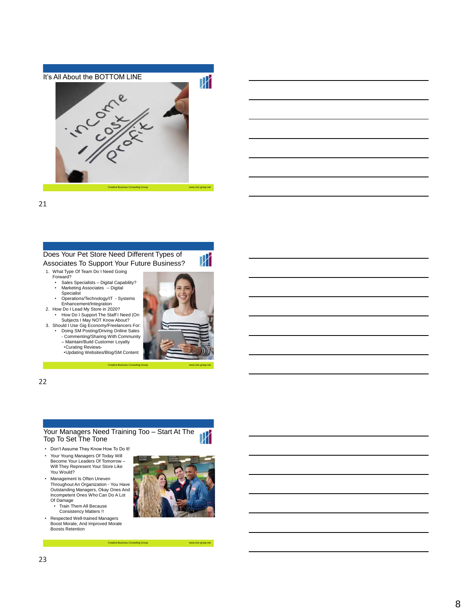

21

# Does Your Pet Store Need Different Types of Associates To Support Your Future Business?

- 1. What Type Of Team Do I Need Going
	- Forward?
	- Sales Specialists Digital Capability?<br>• Marketing Associates -- Digital • Marketing Associates -- Digital
	- Specialist Operations/Technology/IT Systems
- Enhancement/Integration 2. How Do I Lead My Store in 2020?
- How Do I Support The Staff I Need (On
- Subjects I May NOT Know About? 3. Should I Use Gig Economy/Freelancers For: Doing SM Posting/Driving Online Sales - Commenting/Sharing With Community – Maintain/Build Customer Loyalty
	- •Curating Reviews- •Updating Websites/Blog/SM Content



 $\overline{\mathbb{X}}$ 

22

#### Your Managers Need Training Too – Start At The  $\,N$ Top To Set The Tone

Creative Business Consulting Group

- Don't Assume They Know How To Do It!
- Your Young Managers Of Today Will Become Your Leaders Of Tomorrow – Will They Represent Your Store Like You Would?
- Management Is Often Uneven Throughout An Organization - You Have Outstanding Managers, Okay Ones And Incompetent Ones Who Can Do A Lot Of Damage • Train Them All Because
	- Consistency Matters !!
- Respected Well-trained Managers Boost Morale, And Improved Morale Boosts Retention